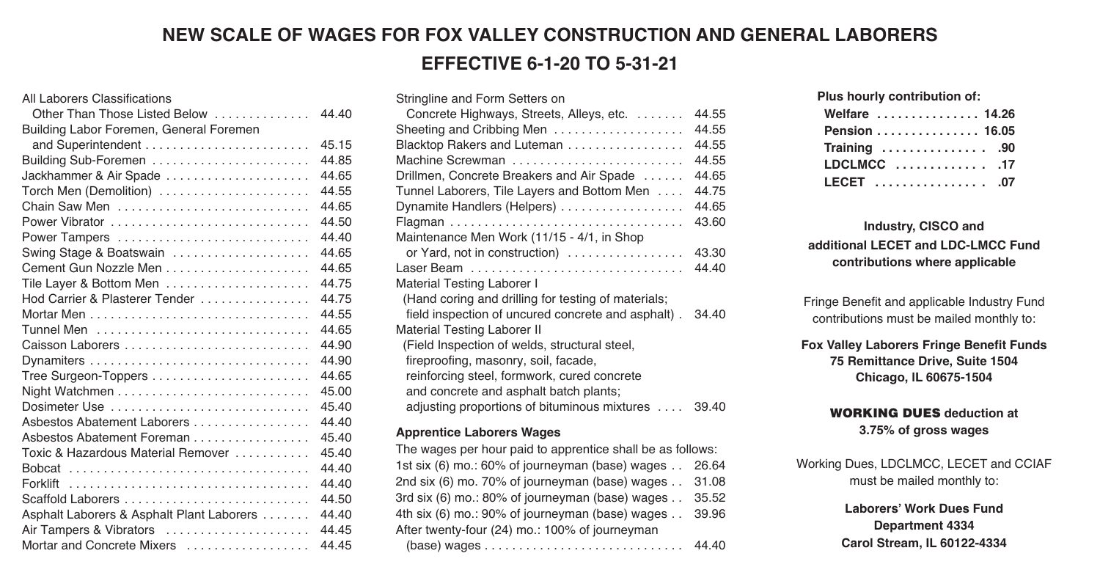## **NEW SCALE OF WAGES FOR FOX VALLEY CONSTRUCTION AND GENERAL LABORERS EFFECTIVE 6-1-20 TO 5-31-21**

| All Laborers Classifications              |       |
|-------------------------------------------|-------|
| Other Than Those Listed Below             | 44 40 |
| Building Labor Foremen, General Foremen   |       |
|                                           | 45.15 |
| Building Sub-Foremen                      | 44.85 |
| Jackhammer & Air Spade                    | 44.65 |
| Torch Men (Demolition)                    | 44.55 |
| Chain Saw Men                             | 44.65 |
| Power Vibrator                            | 44.50 |
| Power Tampers                             | 44.40 |
| Swing Stage & Boatswain                   | 44.65 |
|                                           | 44.65 |
| Tile Layer & Bottom Men                   | 44.75 |
| Hod Carrier & Plasterer Tender            | 44.75 |
|                                           | 44.55 |
|                                           | 44.65 |
|                                           | 44.90 |
|                                           | 44.90 |
|                                           | 44.65 |
|                                           | 45.00 |
| Dosimeter Use                             | 45 40 |
| Asbestos Abatement Laborers               | 44.40 |
| Asbestos Abatement Foreman                | 45.40 |
| Toxic & Hazardous Material Remover        | 45.40 |
|                                           | 44.40 |
|                                           | 44.40 |
| Scaffold Laborers                         | 44.50 |
| Asphalt Laborers & Asphalt Plant Laborers | 44.40 |
| Air Tampers & Vibrators                   | 44.45 |
| Mortar and Concrete Mixers                | 44.45 |

| Stringline and Form Setters on                      |       |
|-----------------------------------------------------|-------|
| Concrete Highways, Streets, Alleys, etc.            | 44.55 |
| Sheeting and Cribbing Men                           | 44.55 |
| Blacktop Rakers and Luteman                         | 44.55 |
| Machine Screwman                                    | 44.55 |
| Drillmen, Concrete Breakers and Air Spade           | 44.65 |
| Tunnel Laborers, Tile Layers and Bottom Men         | 44.75 |
| Dynamite Handlers (Helpers)                         | 44.65 |
|                                                     | 43.60 |
| Maintenance Men Work (11/15 - 4/1, in Shop          |       |
| or Yard, not in construction)                       | 43.30 |
|                                                     | 44.40 |
| <b>Material Testing Laborer I</b>                   |       |
| (Hand coring and drilling for testing of materials; |       |
| field inspection of uncured concrete and asphalt).  | 34.40 |
| Material Testing Laborer II                         |       |
| (Field Inspection of welds, structural steel,       |       |
| fireproofing, masonry, soil, facade,                |       |
| reinforcing steel, formwork, cured concrete         |       |
| and concrete and asphalt batch plants;              |       |
| adjusting proportions of bituminous mixtures        | 39.40 |
|                                                     |       |

#### **Apprentice Laborers Wages**

The wages per hour paid to apprentice shall be as follows: 1st six (6) mo.: 60% of journeyman (base) wages . . 26.64 2nd six (6) mo. 70% of journeyman (base) wages . . 31.08 3rd six (6) mo.: 80% of journeyman (base) wages . . 35.52 4th six (6) mo.: 90% of journeyman (base) wages . . 39.96 After twenty-four (24) mo.: 100% of journeyman (base) wages . . . . . . . . . . . . . . . . . . . . . . . . . . . . . 44.40 **Plus hourly contribution of:**

| Welfare  14.26 |
|----------------|
| Pension  16.05 |
| Training  90   |
|                |
| LECET  .07     |

### **Industry, CISCO and additional LECET and LDC-LMCC Fund contributions where applicable**

Fringe Benefit and applicable Industry Fund contributions must be mailed monthly to:

**Fox Valley Laborers Fringe Benefit Funds 75 Remittance Drive, Suite 1504 Chicago, lL 60675-1504**

#### **WORKING DUES deduction at 3.75% of gross wages**

Working Dues, LDCLMCC, LECET and CCIAF must be mailed monthly to:

> **Laborers' Work Dues Fund Department 4334 Carol Stream, IL 60122-4334**